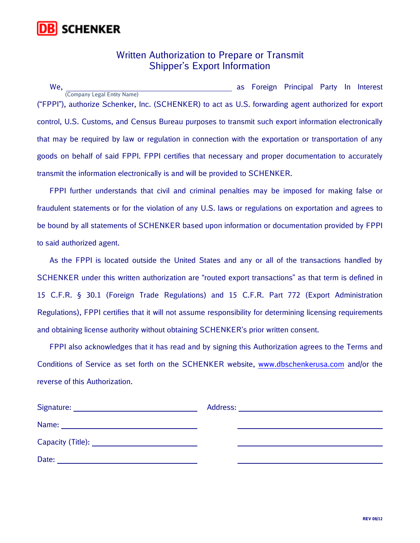

## Written Authorization to Prepare or Transmit Shipper's Export Information

We, Monte and the Contract of the Contract of the Contract of the Contract of the Contract of the Contract of the Contract of the Contract of the Contract of the Contract of the Contract of the Contract of the Contract of ("FPPI"), authorize Schenker, Inc. (SCHENKER) to act as U.S. forwarding agent authorized for export control, U.S. Customs, and Census Bureau purposes to transmit such export information electronically that may be required by law or regulation in connection with the exportation or transportation of any goods on behalf of said FPPI. FPPI certifies that necessary and proper documentation to accurately transmit the information electronically is and will be provided to SCHENKER. (Company Legal Entity Name)

 FPPI further understands that civil and criminal penalties may be imposed for making false or fraudulent statements or for the violation of any U.S. laws or regulations on exportation and agrees to be bound by all statements of SCHENKER based upon information or documentation provided by FPPI to said authorized agent.

 As the FPPI is located outside the United States and any or all of the transactions handled by SCHENKER under this written authorization are "routed export transactions" as that term is defined in 15 C.F.R. § 30.1 (Foreign Trade Regulations) and 15 C.F.R. Part 772 (Export Administration Regulations), FPPI certifies that it will not assume responsibility for determining licensing requirements and obtaining license authority without obtaining SCHENKER's prior written consent.

 FPPI also acknowledges that it has read and by signing this Authorization agrees to the Terms and Conditions of Service as set forth on the SCHENKER website, www.dbschenkerusa.com and/or the reverse of this Authorization.

| Signature:        | Address: |
|-------------------|----------|
|                   |          |
| Capacity (Title): |          |
| Date:             |          |